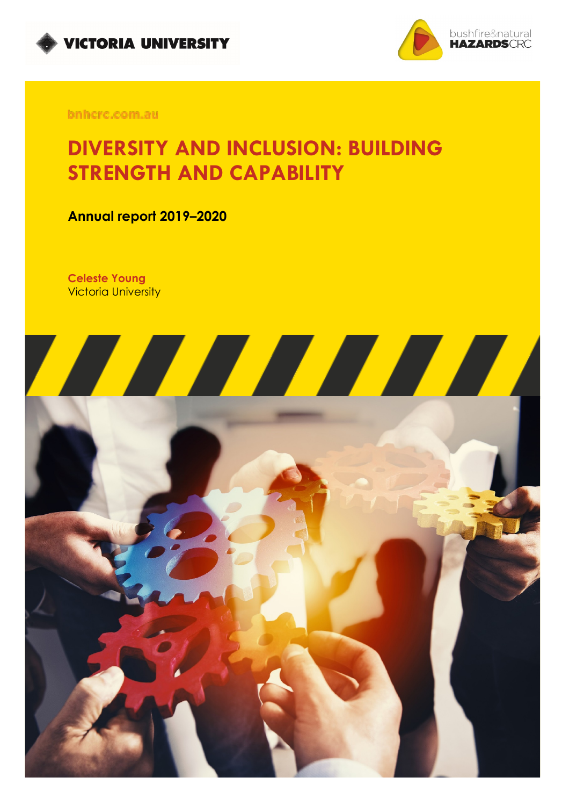



bnhcrc.com.au

# **DIVERSITY AND INCLUSION: BUILDING STRENGTH AND CAPABILITY**

**Annual report 2019–2020**

**Celeste Young** Victoria University

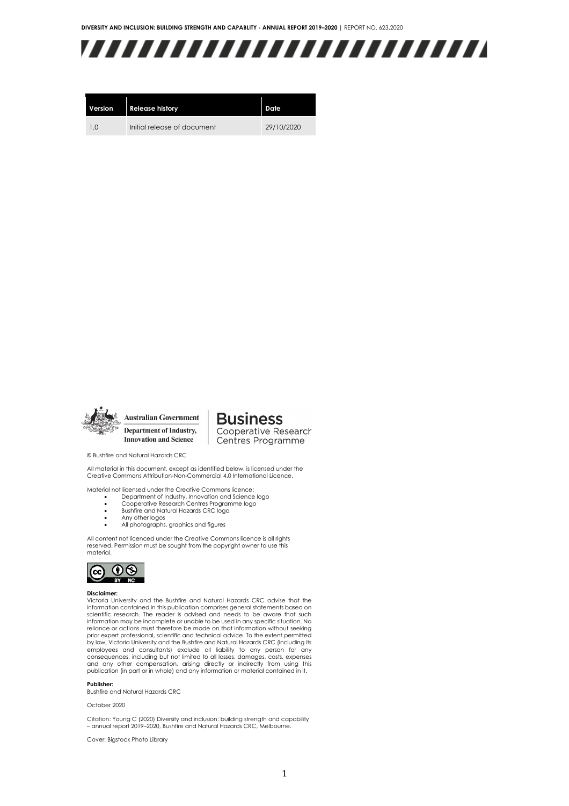

| Version        | <b>Release history</b>      | Date       |
|----------------|-----------------------------|------------|
| 1 <sub>0</sub> | Initial release of document | 29/10/2020 |



**Australian Government** Department of Industry, **Innovation and Science** 

**Business** Cooperative Research Centres Programme

© Bushfire and Natural Hazards CRC

All material in this document, except as identified below, is licensed under the Creative Commons Attribution-Non-Commercial 4.0 International Licence.

Material not licensed under the Creative Commons licence:

- Department of Industry, Innovation and Science logo<br>• Cooperative Research Centres Programme logo
- Cooperative Research Centres Programme logo
- Bushfire and Natural Hazards CRC logo<br>• Any other logos
- Any other logos All photographs, graphics and figures

All content not licenced under the Creative Commons licence is all rights reserved. Permission must be sought from the copyright owner to use this material.



#### **Disclaimer:**

Victoria University and the Bushfire and Natural Hazards CRC advise that the information contained in this publication comprises general statements based on scientific research. The reader is advised and needs to be aware that such information may be incomplete or unable to be used in any specific situation. No reliance or actions must therefore be made on that information without seeking prior expert professional, scientific and technical advice. To the extent permitted by law, Victoria University and the Bushfire and Natural Hazards CRC (including its employees and consultants) exclude all liability to any person for any<br>consequences, including.but not limited to all losses, damages, costs, expenses<br>and any other compensation, arising directly or indirectly from using t publication (in part or in whole) and any information or material contained in it.

#### **Publisher:**

Bushfire and Natural Hazards CRC

#### October 2020

Citation: Young C (2020) Diversity and inclusion: building strength and capability – annual report 2019–2020, Bushfire and Natural Hazards CRC, Melbourne.

Cover: Bigstock Photo Library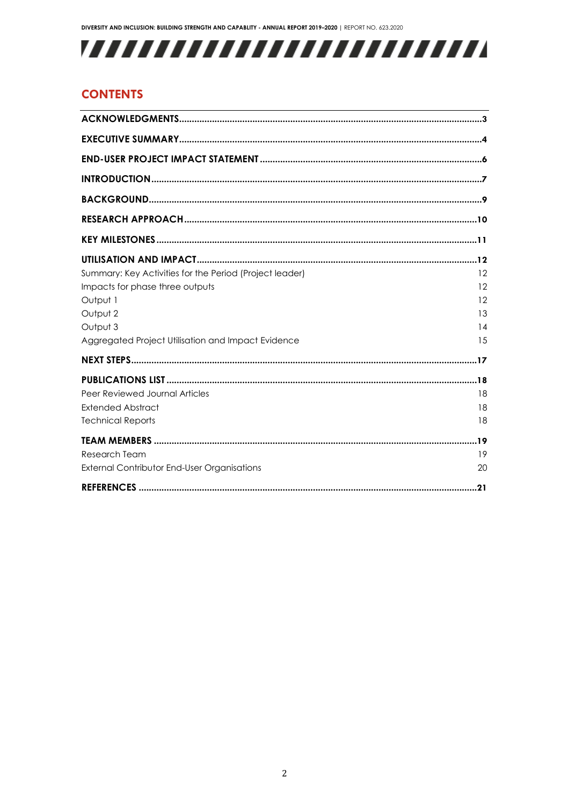# 

# **CONTENTS**

| Summary: Key Activities for the Period (Project leader)<br>Impacts for phase three outputs | 12<br>12             |
|--------------------------------------------------------------------------------------------|----------------------|
| Output 1<br>Output 2<br>Output 3<br>Aggregated Project Utilisation and Impact Evidence     | 12<br>13<br>14<br>15 |
|                                                                                            |                      |
| Peer Reviewed Journal Articles<br><b>Extended Abstract</b><br><b>Technical Reports</b>     | 18<br>18<br>18       |
| <b>Research Team</b><br><b>External Contributor End-User Organisations</b>                 | 19<br>20             |
|                                                                                            |                      |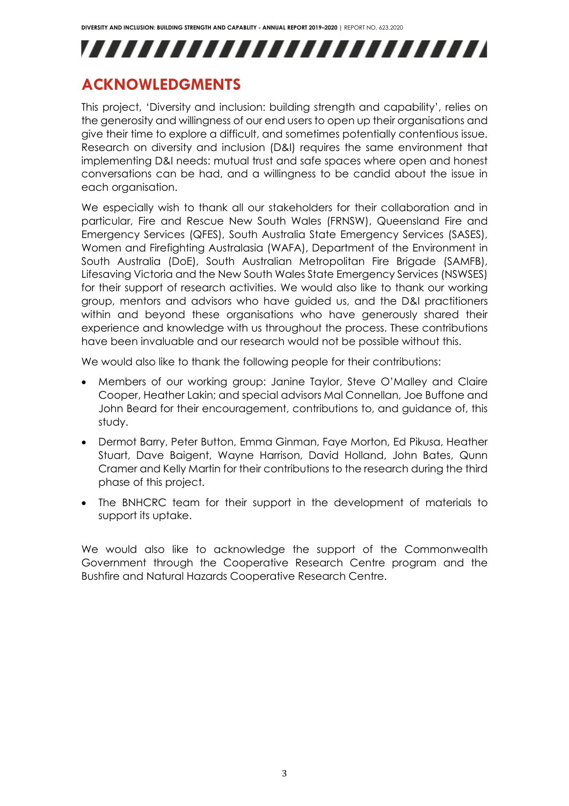

# <span id="page-3-0"></span>**ACKNOWLEDGMENTS**

This project, 'Diversity and inclusion: building strength and capability', relies on the generosity and willingness of our end users to open up their organisations and give their time to explore a difficult, and sometimes potentially contentious issue. Research on diversity and inclusion (D&I) requires the same environment that implementing D&I needs: mutual trust and safe spaces where open and honest conversations can be had, and a willingness to be candid about the issue in each organisation.

We especially wish to thank all our stakeholders for their collaboration and in particular, Fire and Rescue New South Wales (FRNSW), Queensland Fire and Emergency Services (QFES), South Australia State Emergency Services (SASES), Women and Firefighting Australasia (WAFA), Department of the Environment in South Australia (DoE), South Australian Metropolitan Fire Brigade (SAMFB), Lifesaving Victoria and the New South Wales State Emergency Services (NSWSES) for their support of research activities. We would also like to thank our working group, mentors and advisors who have guided us, and the D&I practitioners within and beyond these organisations who have generously shared their experience and knowledge with us throughout the process. These contributions have been invaluable and our research would not be possible without this.

We would also like to thank the following people for their contributions:

- Members of our working group: Janine Taylor, Steve O'Malley and Claire Cooper, Heather Lakin; and special advisors Mal Connellan, Joe Buffone and John Beard for their encouragement, contributions to, and guidance of, this study.
- Dermot Barry, Peter Button, Emma Ginman, Faye Morton, Ed Pikusa, Heather Stuart, Dave Baigent, Wayne Harrison, David Holland, John Bates, Qunn Cramer and Kelly Martin for their contributions to the research during the third phase of this project.
- The BNHCRC team for their support in the development of materials to support its uptake.

We would also like to acknowledge the support of the Commonwealth Government through the Cooperative Research Centre program and the Bushfire and Natural Hazards Cooperative Research Centre.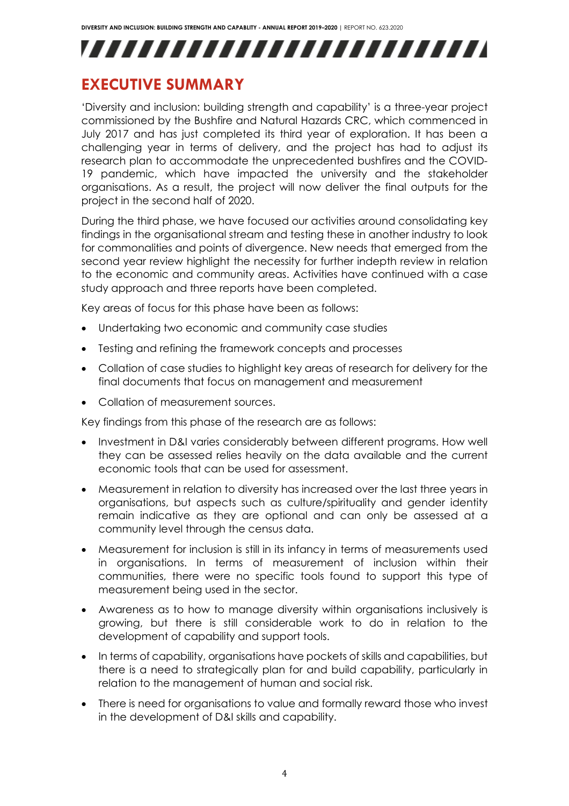

# <span id="page-4-0"></span>**EXECUTIVE SUMMARY**

'Diversity and inclusion: building strength and capability' is a three-year project commissioned by the Bushfire and Natural Hazards CRC, which commenced in July 2017 and has just completed its third year of exploration. It has been a challenging year in terms of delivery, and the project has had to adjust its research plan to accommodate the unprecedented bushfires and the COVID-19 pandemic, which have impacted the university and the stakeholder organisations. As a result, the project will now deliver the final outputs for the project in the second half of 2020.

During the third phase, we have focused our activities around consolidating key findings in the organisational stream and testing these in another industry to look for commonalities and points of divergence. New needs that emerged from the second year review highlight the necessity for further indepth review in relation to the economic and community areas. Activities have continued with a case study approach and three reports have been completed.

Key areas of focus for this phase have been as follows:

- Undertaking two economic and community case studies
- Testing and refining the framework concepts and processes
- Collation of case studies to highlight key areas of research for delivery for the final documents that focus on management and measurement
- Collation of measurement sources.

Key findings from this phase of the research are as follows:

- Investment in D&I varies considerably between different programs. How well they can be assessed relies heavily on the data available and the current economic tools that can be used for assessment.
- Measurement in relation to diversity has increased over the last three years in organisations, but aspects such as culture/spirituality and gender identity remain indicative as they are optional and can only be assessed at a community level through the census data.
- Measurement for inclusion is still in its infancy in terms of measurements used in organisations. In terms of measurement of inclusion within their communities, there were no specific tools found to support this type of measurement being used in the sector.
- Awareness as to how to manage diversity within organisations inclusively is growing, but there is still considerable work to do in relation to the development of capability and support tools.
- In terms of capability, organisations have pockets of skills and capabilities, but there is a need to strategically plan for and build capability, particularly in relation to the management of human and social risk.
- There is need for organisations to value and formally reward those who invest in the development of D&I skills and capability.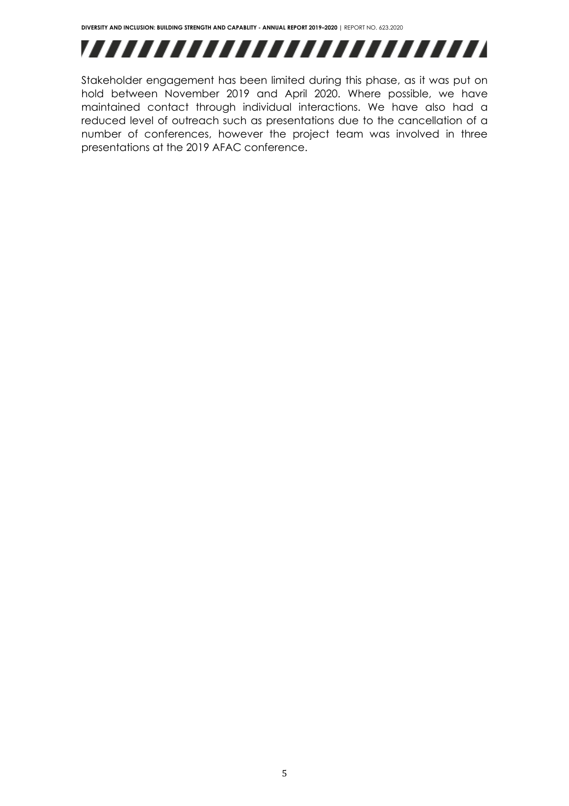

Stakeholder engagement has been limited during this phase, as it was put on hold between November 2019 and April 2020. Where possible, we have maintained contact through individual interactions. We have also had a reduced level of outreach such as presentations due to the cancellation of a number of conferences, however the project team was involved in three presentations at the 2019 AFAC conference.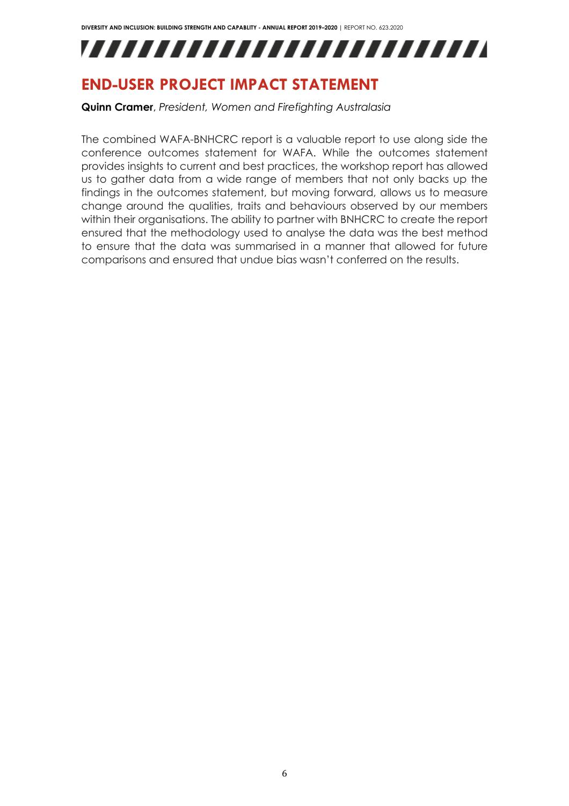

# <span id="page-6-0"></span>**END-USER PROJECT IMPACT STATEMENT**

**Quinn Cramer**, *President, Women and Firefighting Australasia*

The combined WAFA-BNHCRC report is a valuable report to use along side the conference outcomes statement for WAFA. While the outcomes statement provides insights to current and best practices, the workshop report has allowed us to gather data from a wide range of members that not only backs up the findings in the outcomes statement, but moving forward, allows us to measure change around the qualities, traits and behaviours observed by our members within their organisations. The ability to partner with BNHCRC to create the report ensured that the methodology used to analyse the data was the best method to ensure that the data was summarised in a manner that allowed for future comparisons and ensured that undue bias wasn't conferred on the results.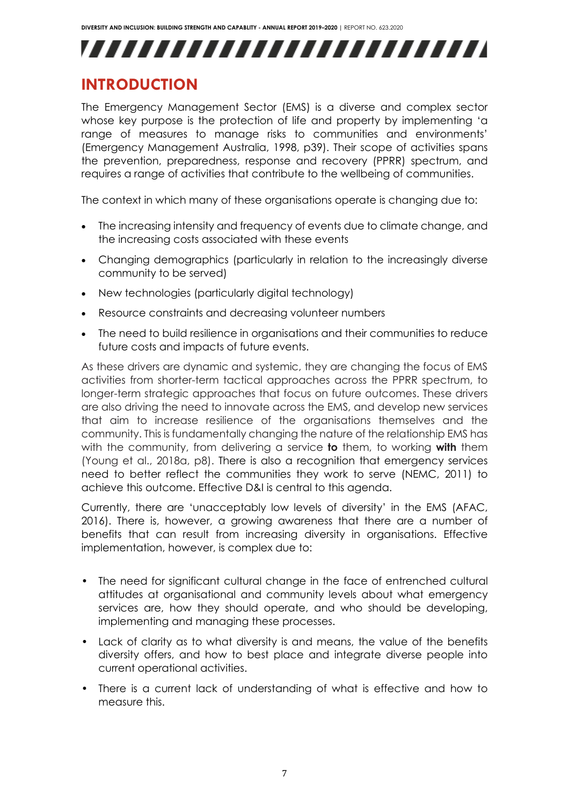# VIIIIIIIIIIIIIIIIIIIIIIII

# <span id="page-7-0"></span>**INTRODUCTION**

The Emergency Management Sector (EMS) is a diverse and complex sector whose key purpose is the protection of life and property by implementing 'a range of measures to manage risks to communities and environments' (Emergency Management Australia, 1998, p39). Their scope of activities spans the prevention, preparedness, response and recovery (PPRR) spectrum, and requires a range of activities that contribute to the wellbeing of communities.

The context in which many of these organisations operate is changing due to:

- The increasing intensity and frequency of events due to climate change, and the increasing costs associated with these events
- Changing demographics (particularly in relation to the increasingly diverse community to be served)
- New technologies (particularly digital technology)
- Resource constraints and decreasing volunteer numbers
- The need to build resilience in organisations and their communities to reduce future costs and impacts of future events.

As these drivers are dynamic and systemic, they are changing the focus of EMS activities from shorter-term tactical approaches across the PPRR spectrum, to longer-term strategic approaches that focus on future outcomes. These drivers are also driving the need to innovate across the EMS, and develop new services that aim to increase resilience of the organisations themselves and the community. This is fundamentally changing the nature of the relationship EMS has with the community, from delivering a service **to** them, to working **with** them (Young et al., 2018a, p8). There is also a recognition that emergency services need to better reflect the communities they work to serve (NEMC, 2011) to achieve this outcome. Effective D&I is central to this agenda.

Currently, there are 'unacceptably low levels of diversity' in the EMS (AFAC, 2016). There is, however, a growing awareness that there are a number of benefits that can result from increasing diversity in organisations. Effective implementation, however, is complex due to:

- The need for significant cultural change in the face of entrenched cultural attitudes at organisational and community levels about what emergency services are, how they should operate, and who should be developing, implementing and managing these processes.
- Lack of clarity as to what diversity is and means, the value of the benefits diversity offers, and how to best place and integrate diverse people into current operational activities.
- There is a current lack of understanding of what is effective and how to measure this.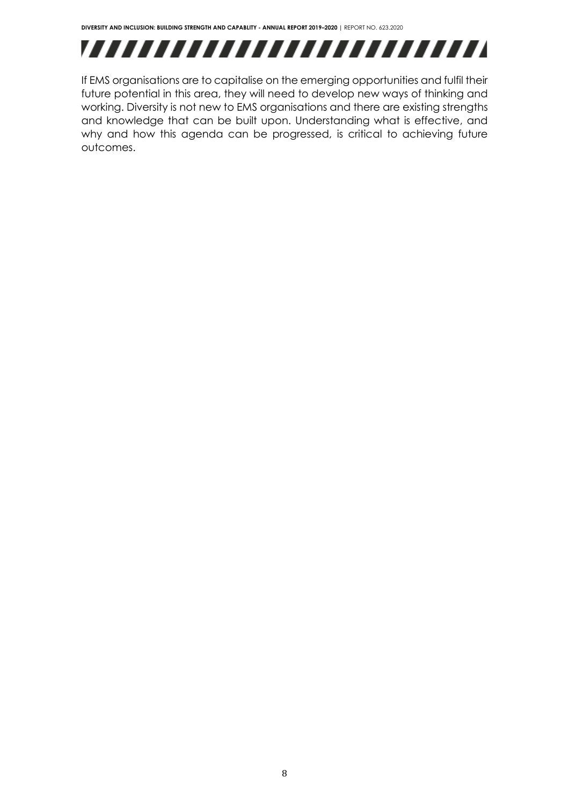

If EMS organisations are to capitalise on the emerging opportunities and fulfil their future potential in this area, they will need to develop new ways of thinking and working. Diversity is not new to EMS organisations and there are existing strengths and knowledge that can be built upon. Understanding what is effective, and why and how this agenda can be progressed, is critical to achieving future outcomes.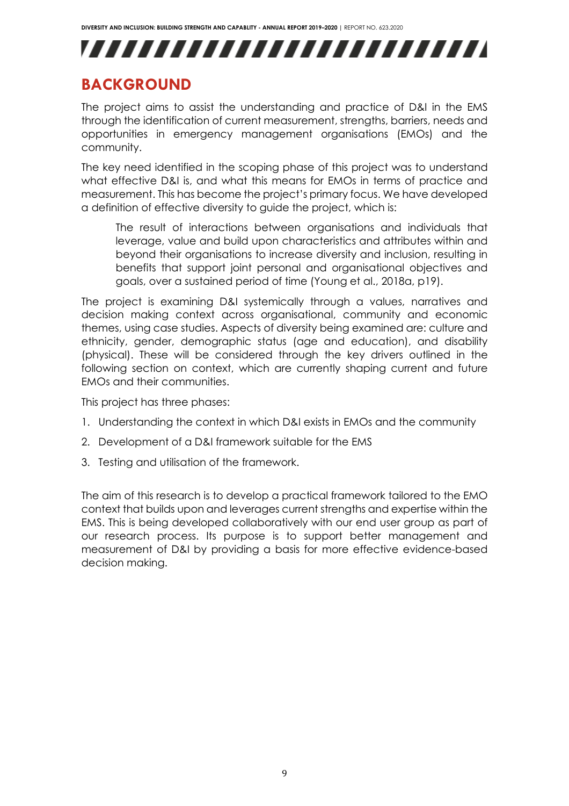# ,,,,,,,,,,,,,,,,,,,,,,,,,

# <span id="page-9-0"></span>**BACKGROUND**

The project aims to assist the understanding and practice of D&I in the EMS through the identification of current measurement, strengths, barriers, needs and opportunities in emergency management organisations (EMOs) and the community.

The key need identified in the scoping phase of this project was to understand what effective D&I is, and what this means for EMOs in terms of practice and measurement. This has become the project's primary focus. We have developed a definition of effective diversity to guide the project, which is:

The result of interactions between organisations and individuals that leverage, value and build upon characteristics and attributes within and beyond their organisations to increase diversity and inclusion, resulting in benefits that support joint personal and organisational objectives and goals, over a sustained period of time (Young et al., 2018a, p19).

The project is examining D&I systemically through a values, narratives and decision making context across organisational, community and economic themes, using case studies. Aspects of diversity being examined are: culture and ethnicity, gender, demographic status (age and education), and disability (physical). These will be considered through the key drivers outlined in the following section on context, which are currently shaping current and future EMOs and their communities.

This project has three phases:

- 1. Understanding the context in which D&I exists in EMOs and the community
- 2. Development of a D&I framework suitable for the EMS
- 3. Testing and utilisation of the framework.

The aim of this research is to develop a practical framework tailored to the EMO context that builds upon and leverages current strengths and expertise within the EMS. This is being developed collaboratively with our end user group as part of our research process. Its purpose is to support better management and measurement of D&I by providing a basis for more effective evidence-based decision making.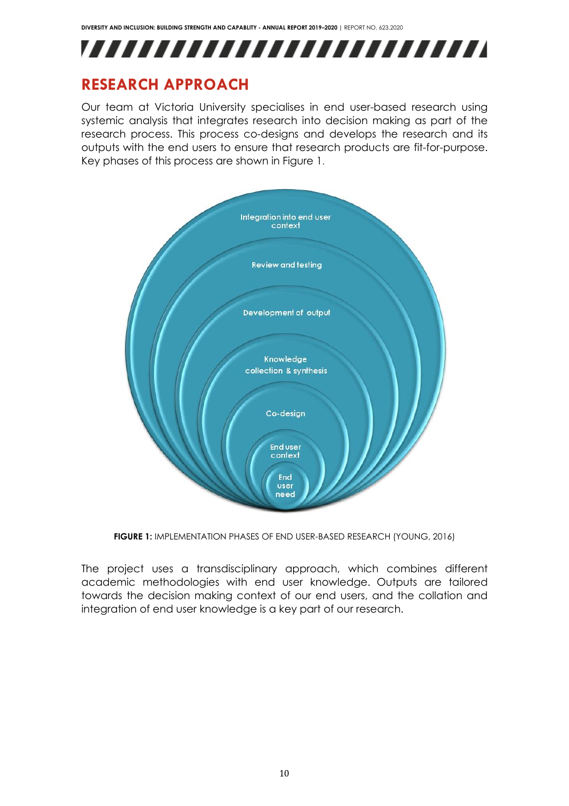

# <span id="page-10-0"></span>**RESEARCH APPROACH**

Our team at Victoria University specialises in end user-based research using systemic analysis that integrates research into decision making as part of the research process. This process co-designs and develops the research and its outputs with the end users to ensure that research products are fit-for-purpose. Key phases of this process are shown in Figure 1.



**FIGURE 1:** IMPLEMENTATION PHASES OF END USER-BASED RESEARCH (YOUNG, 2016)

The project uses a transdisciplinary approach, which combines different academic methodologies with end user knowledge. Outputs are tailored towards the decision making context of our end users, and the collation and integration of end user knowledge is a key part of our research.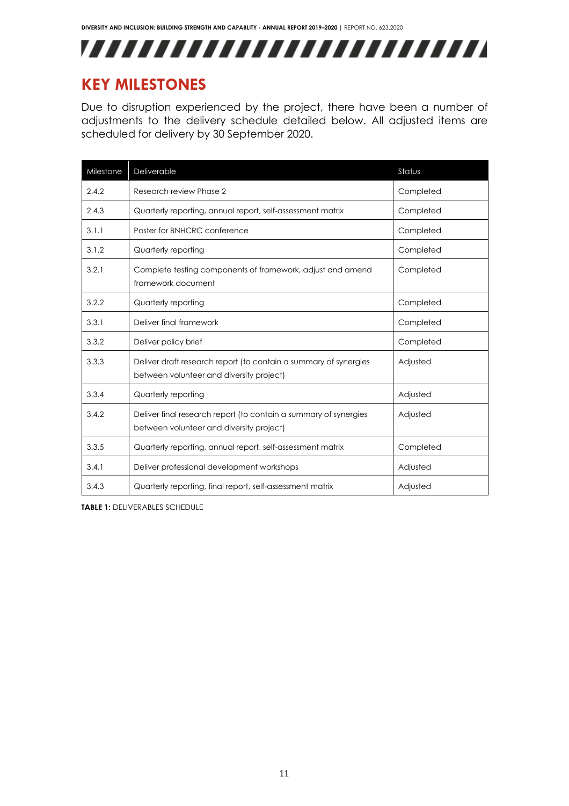

# <span id="page-11-0"></span>**KEY MILESTONES**

Due to disruption experienced by the project, there have been a number of adjustments to the delivery schedule detailed below. All adjusted items are scheduled for delivery by 30 September 2020.

| Milestone | Deliverable                                                                                                  | Status    |
|-----------|--------------------------------------------------------------------------------------------------------------|-----------|
| 2.4.2     | Research review Phase 2                                                                                      | Completed |
| 2.4.3     | Quarterly reporting, annual report, self-assessment matrix                                                   | Completed |
| 3.1.1     | Poster for BNHCRC conference                                                                                 | Completed |
| 3.1.2     | Quarterly reporting                                                                                          | Completed |
| 3.2.1     | Complete testing components of framework, adjust and amend<br>framework document                             | Completed |
| 3.2.2     | Quarterly reporting                                                                                          | Completed |
| 3.3.1     | Deliver final framework                                                                                      | Completed |
| 3.3.2     | Deliver policy brief                                                                                         | Completed |
| 3.3.3     | Deliver draft research report (to contain a summary of synergies<br>between volunteer and diversity project) | Adjusted  |
| 3.3.4     | Quarterly reporting                                                                                          | Adjusted  |
| 3.4.2     | Deliver final research report (to contain a summary of synergies<br>between volunteer and diversity project) | Adjusted  |
| 3.3.5     | Quarterly reporting, annual report, self-assessment matrix                                                   | Completed |
| 3.4.1     | Deliver professional development workshops                                                                   | Adjusted  |
| 3.4.3     | Quarterly reporting, final report, self-assessment matrix                                                    | Adjusted  |

**TABLE 1:** DELIVERABLES SCHEDULE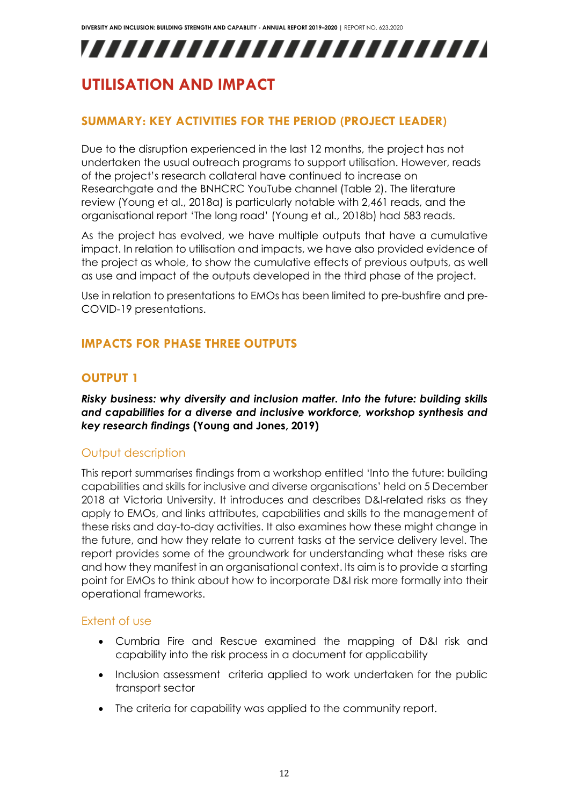# VIIIIIIIIIIIIIIIIIIIIIIII

# <span id="page-12-0"></span>**UTILISATION AND IMPACT**

# <span id="page-12-1"></span>**SUMMARY: KEY ACTIVITIES FOR THE PERIOD (PROJECT LEADER)**

Due to the disruption experienced in the last 12 months, the project has not undertaken the usual outreach programs to support utilisation. However, reads of the project's research collateral have continued to increase on Researchgate and the BNHCRC YouTube channel (Table 2). The literature review (Young et al., 2018a) is particularly notable with 2,461 reads, and the organisational report 'The long road' (Young et al., 2018b) had 583 reads.

As the project has evolved, we have multiple outputs that have a cumulative impact. In relation to utilisation and impacts, we have also provided evidence of the project as whole, to show the cumulative effects of previous outputs, as well as use and impact of the outputs developed in the third phase of the project.

Use in relation to presentations to EMOs has been limited to pre-bushfire and pre-COVID-19 presentations.

# <span id="page-12-3"></span><span id="page-12-2"></span>**IMPACTS FOR PHASE THREE OUTPUTS**

# **OUTPUT 1**

*Risky business: why diversity and inclusion matter. Into the future: building skills and capabilities for a diverse and inclusive workforce, workshop synthesis and key research findings* **(Young and Jones, 2019)**

### Output description

This report summarises findings from a workshop entitled 'Into the future: building capabilities and skills for inclusive and diverse organisations' held on 5 December 2018 at Victoria University. It introduces and describes D&I-related risks as they apply to EMOs, and links attributes, capabilities and skills to the management of these risks and day-to-day activities. It also examines how these might change in the future, and how they relate to current tasks at the service delivery level. The report provides some of the groundwork for understanding what these risks are and how they manifest in an organisational context. Its aim is to provide a starting point for EMOs to think about how to incorporate D&I risk more formally into their operational frameworks.

### Extent of use

- Cumbria Fire and Rescue examined the mapping of D&I risk and capability into the risk process in a document for applicability
- Inclusion assessment criteria applied to work undertaken for the public transport sector
- The criteria for capability was applied to the community report.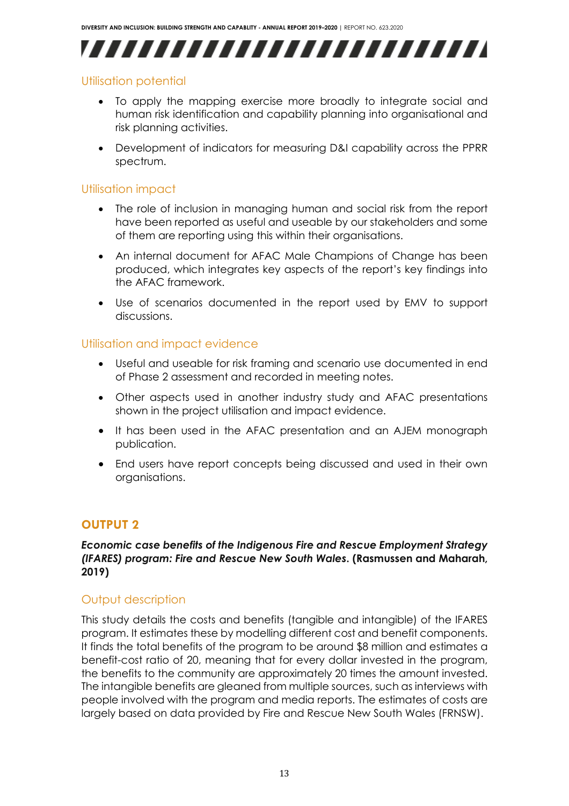,,,,,,,,,,,,,,,,,,,,,,,,,

# Utilisation potential

- To apply the mapping exercise more broadly to integrate social and human risk identification and capability planning into organisational and risk planning activities.
- Development of indicators for measuring D&I capability across the PPRR spectrum.

## Utilisation impact

- The role of inclusion in managing human and social risk from the report have been reported as useful and useable by our stakeholders and some of them are reporting using this within their organisations.
- An internal document for AFAC Male Champions of Change has been produced, which integrates key aspects of the report's key findings into the AFAC framework.
- Use of scenarios documented in the report used by EMV to support discussions.

### Utilisation and impact evidence

- Useful and useable for risk framing and scenario use documented in end of Phase 2 assessment and recorded in meeting notes.
- Other aspects used in another industry study and AFAC presentations shown in the project utilisation and impact evidence.
- It has been used in the AFAC presentation and an AJEM monograph publication.
- End users have report concepts being discussed and used in their own organisations.

# <span id="page-13-0"></span>**OUTPUT 2**

### *Economic case benefits of the Indigenous Fire and Rescue Employment Strategy (IFARES) program: Fire and Rescue New South Wales***. (Rasmussen and Maharah, 2019)**

### Output description

This study details the costs and benefits (tangible and intangible) of the IFARES program. It estimates these by modelling different cost and benefit components. It finds the total benefits of the program to be around \$8 million and estimates a benefit-cost ratio of 20, meaning that for every dollar invested in the program, the benefits to the community are approximately 20 times the amount invested. The intangible benefits are gleaned from multiple sources, such as interviews with people involved with the program and media reports. The estimates of costs are largely based on data provided by Fire and Rescue New South Wales (FRNSW).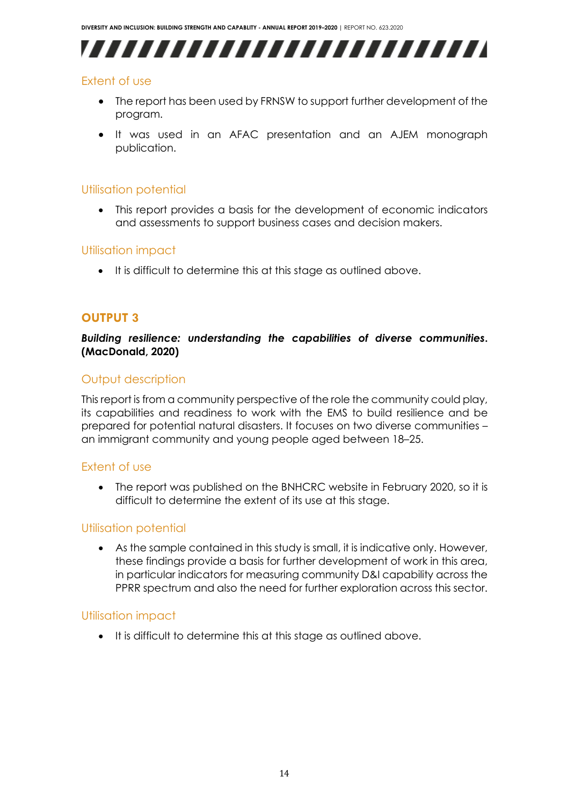,,,,,,,,,,,,,,,,,,,,,,,,,

# Extent of use

- The report has been used by FRNSW to support further development of the program.
- It was used in an AFAC presentation and an AJEM monograph publication.

# Utilisation potential

• This report provides a basis for the development of economic indicators and assessments to support business cases and decision makers.

# Utilisation impact

• It is difficult to determine this at this stage as outlined above.

# <span id="page-14-0"></span>**OUTPUT 3**

*Building resilience: understanding the capabilities of diverse communities***. (MacDonald, 2020)**

### Output description

This report is from a community perspective of the role the community could play, its capabilities and readiness to work with the EMS to build resilience and be prepared for potential natural disasters. It focuses on two diverse communities – an immigrant community and young people aged between 18–25.

# Extent of use

• The report was published on the BNHCRC website in February 2020, so it is difficult to determine the extent of its use at this stage.

# Utilisation potential

• As the sample contained in this study is small, it is indicative only. However, these findings provide a basis for further development of work in this area, in particular indicators for measuring community D&I capability across the PPRR spectrum and also the need for further exploration across this sector.

### Utilisation impact

• It is difficult to determine this at this stage as outlined above.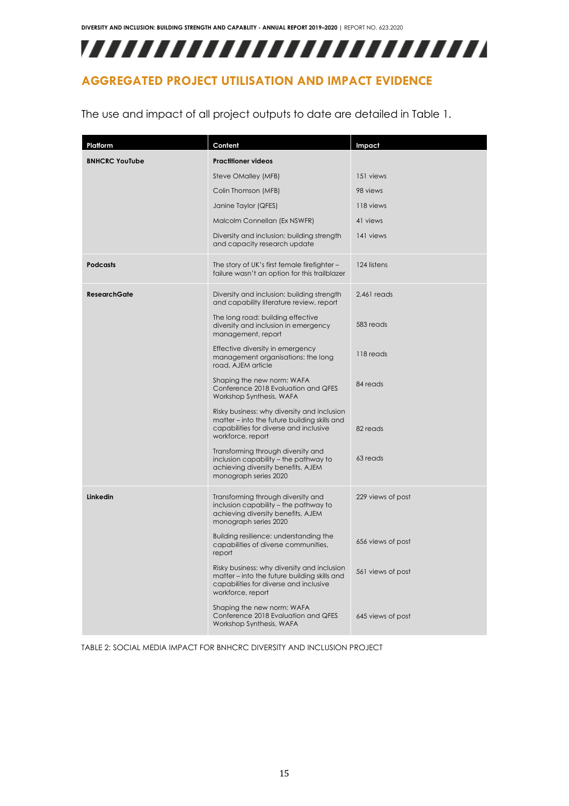,,,,,,,,,,,,,,,,,,,,,,,,,,

# <span id="page-15-0"></span>**AGGREGATED PROJECT UTILISATION AND IMPACT EVIDENCE**

The use and impact of all project outputs to date are detailed in Table 1.

| Platform              | Content                                                                                                                                                    | Impact            |
|-----------------------|------------------------------------------------------------------------------------------------------------------------------------------------------------|-------------------|
| <b>BNHCRC YouTube</b> | <b>Practitioner videos</b>                                                                                                                                 |                   |
|                       | Steve OMalley (MFB)                                                                                                                                        | 151 views         |
|                       | Colin Thomson (MFB)                                                                                                                                        | 98 views          |
|                       | Janine Taylor (QFES)                                                                                                                                       | 118 views         |
|                       | Malcolm Connellan (Ex NSWFR)                                                                                                                               | 41 views          |
|                       | Diversity and inclusion: building strength<br>and capacity research update                                                                                 | 141 views         |
| <b>Podcasts</b>       | The story of UK's first female firefighter -<br>failure wasn't an option for this trailblazer                                                              | 124 listens       |
| <b>ResearchGate</b>   | Diversity and inclusion: building strength<br>and capability literature review, report                                                                     | $2,461$ reads     |
|                       | The long road: building effective<br>diversity and inclusion in emergency<br>management, report                                                            | 583 reads         |
|                       | Effective diversity in emergency<br>management organisations: the long<br>road, AJEM article                                                               | 118 reads         |
|                       | Shaping the new norm: WAFA<br>Conference 2018 Evaluation and QFES<br>Workshop Synthesis, WAFA                                                              | 84 reads          |
|                       | Risky business: why diversity and inclusion<br>matter – into the future building skills and<br>capabilities for diverse and inclusive<br>workforce, report | 82 reads          |
|                       | Transforming through diversity and<br>inclusion capability - the pathway to<br>achieving diversity benefits, AJEM<br>monograph series 2020                 | 63 reads          |
| Linkedin              | Transforming through diversity and<br>inclusion capability - the pathway to<br>achieving diversity benefits, AJEM<br>monograph series 2020                 | 229 views of post |
|                       | Building resilience: understanding the<br>capabilities of diverse communities,<br>report                                                                   | 656 views of post |
|                       | Risky business: why diversity and inclusion<br>matter – into the future building skills and<br>capabilities for diverse and inclusive<br>workforce, report | 561 views of post |
|                       | Shaping the new norm: WAFA<br>Conference 2018 Evaluation and QFES<br>Workshop Synthesis, WAFA                                                              | 645 views of post |

TABLE 2: SOCIAL MEDIA IMPACT FOR BNHCRC DIVERSITY AND INCLUSION PROJECT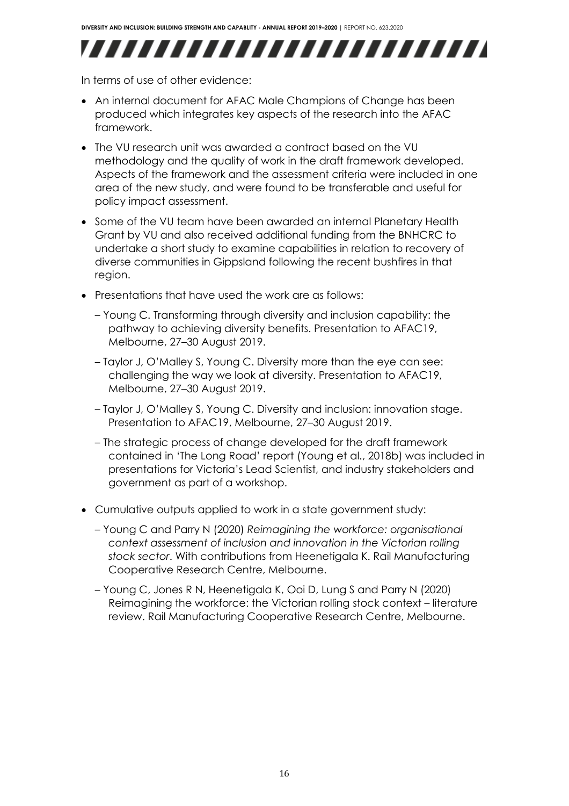

In terms of use of other evidence:

- An internal document for AFAC Male Champions of Change has been produced which integrates key aspects of the research into the AFAC framework.
- The VU research unit was awarded a contract based on the VU methodology and the quality of work in the draft framework developed. Aspects of the framework and the assessment criteria were included in one area of the new study, and were found to be transferable and useful for policy impact assessment.
- Some of the VU team have been awarded an internal Planetary Health Grant by VU and also received additional funding from the BNHCRC to undertake a short study to examine capabilities in relation to recovery of diverse communities in Gippsland following the recent bushfires in that region.
- Presentations that have used the work are as follows:
	- Young C. Transforming through diversity and inclusion capability: the pathway to achieving diversity benefits. Presentation to AFAC19, Melbourne, 27–30 August 2019.
	- Taylor J, O'Malley S, Young C. Diversity more than the eye can see: challenging the way we look at diversity. Presentation to AFAC19, Melbourne, 27–30 August 2019.
	- Taylor J, O'Malley S, Young C. Diversity and inclusion: innovation stage. Presentation to AFAC19, Melbourne, 27–30 August 2019.
	- The strategic process of change developed for the draft framework contained in 'The Long Road' report (Young et al., 2018b) was included in presentations for Victoria's Lead Scientist, and industry stakeholders and government as part of a workshop.
- Cumulative outputs applied to work in a state government study:
	- Young C and Parry N (2020) *Reimagining the workforce: organisational context assessment of inclusion and innovation in the Victorian rolling stock sector*. With contributions from Heenetigala K. Rail Manufacturing Cooperative Research Centre, Melbourne.
	- Young C, Jones R N, Heenetigala K, Ooi D, Lung S and Parry N (2020) Reimagining the workforce: the Victorian rolling stock context – literature review. Rail Manufacturing Cooperative Research Centre, Melbourne.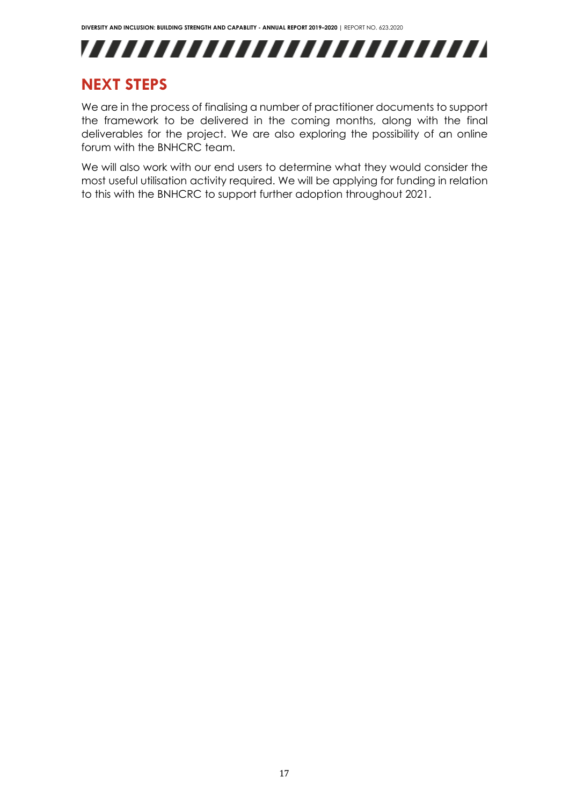

# <span id="page-17-0"></span>**NEXT STEPS**

We are in the process of finalising a number of practitioner documents to support the framework to be delivered in the coming months, along with the final deliverables for the project. We are also exploring the possibility of an online forum with the BNHCRC team.

We will also work with our end users to determine what they would consider the most useful utilisation activity required. We will be applying for funding in relation to this with the BNHCRC to support further adoption throughout 2021.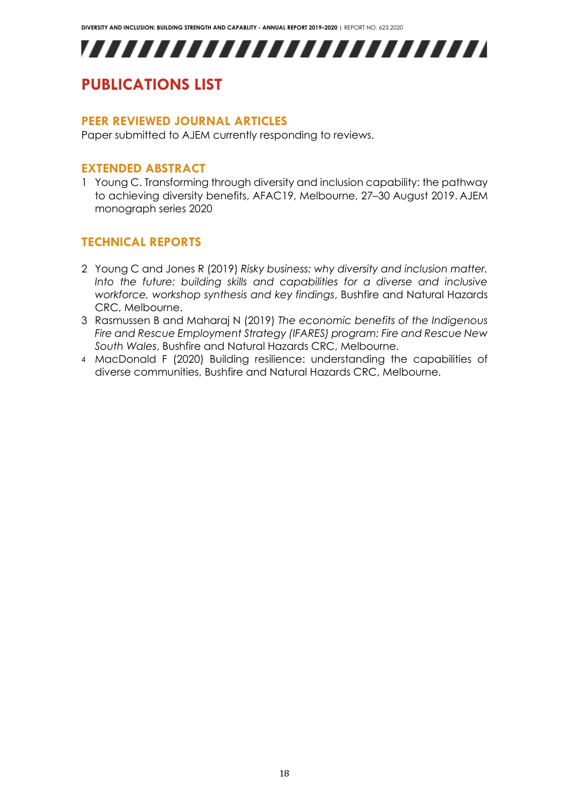# ,,,,,,,,,,,,,,,,,,,,,,,,,

# <span id="page-18-0"></span>**PUBLICATIONS LIST**

### <span id="page-18-1"></span>**PEER REVIEWED JOURNAL ARTICLES**

<span id="page-18-2"></span>Paper submitted to AJEM currently responding to reviews.

### **EXTENDED ABSTRACT**

1 Young C. Transforming through diversity and inclusion capability: the pathway to achieving diversity benefits, AFAC19, Melbourne, 27–30 August 2019. AJEM monograph series 2020

# <span id="page-18-3"></span>**TECHNICAL REPORTS**

- 2 Young C and Jones R (2019) *Risky business: why diversity and inclusion matter.* Into the future: building skills and capabilities for a diverse and inclusive *workforce, workshop synthesis and key findings*, Bushfire and Natural Hazards CRC, Melbourne.
- 3 Rasmussen B and Maharaj N (2019) *The economic benefits of the Indigenous Fire and Rescue Employment Strategy (IFARES) program: Fire and Rescue New South Wales*, Bushfire and Natural Hazards CRC, Melbourne.
- 4 MacDonald F (2020) Building resilience: understanding the capabilities of diverse communities, Bushfire and Natural Hazards CRC, Melbourne.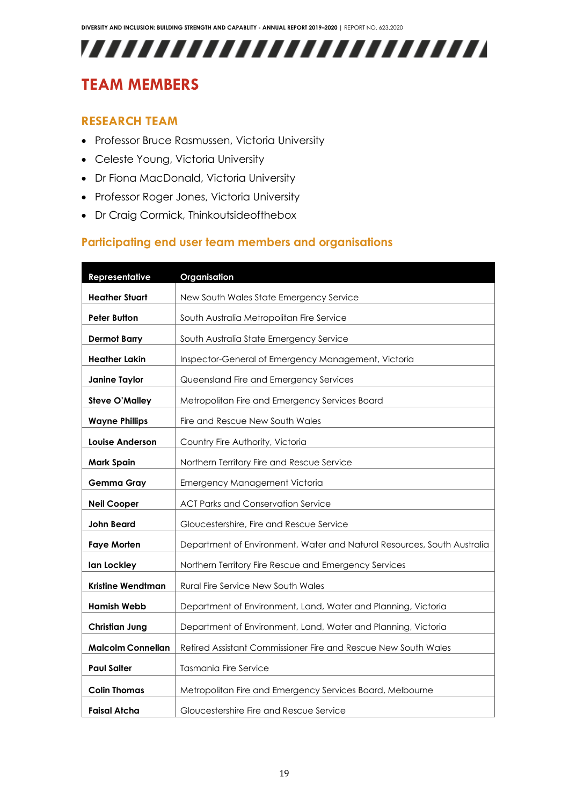# ,,,,,,,,,,,,,,,,,,,,,,,,,,

# <span id="page-19-0"></span>**TEAM MEMBERS**

### <span id="page-19-1"></span>**RESEARCH TEAM**

- Professor Bruce Rasmussen, Victoria University
- Celeste Young, Victoria University
- Dr Fiona MacDonald, Victoria University
- Professor Roger Jones, Victoria University
- Dr Craig Cormick, Thinkoutsideofthebox

# **Participating end user team members and organisations**

| Representative           | Organisation                                                            |
|--------------------------|-------------------------------------------------------------------------|
| <b>Heather Stuart</b>    | New South Wales State Emergency Service                                 |
| <b>Peter Button</b>      | South Australia Metropolitan Fire Service                               |
| <b>Dermot Barry</b>      | South Australia State Emergency Service                                 |
| <b>Heather Lakin</b>     | Inspector-General of Emergency Management, Victoria                     |
| <b>Janine Taylor</b>     | Queensland Fire and Emergency Services                                  |
| <b>Steve O'Malley</b>    |                                                                         |
|                          | Metropolitan Fire and Emergency Services Board                          |
| <b>Wayne Phillips</b>    | Fire and Rescue New South Wales                                         |
| Louise Anderson          | Country Fire Authority, Victoria                                        |
| <b>Mark Spain</b>        | Northern Territory Fire and Rescue Service                              |
| <b>Gemma Gray</b>        | Emergency Management Victoria                                           |
| <b>Neil Cooper</b>       | <b>ACT Parks and Conservation Service</b>                               |
| <b>John Beard</b>        | Gloucestershire, Fire and Rescue Service                                |
| <b>Faye Morten</b>       | Department of Environment, Water and Natural Resources, South Australia |
| lan Lockley              | Northern Territory Fire Rescue and Emergency Services                   |
| Kristine Wendtman        | Rural Fire Service New South Wales                                      |
| <b>Hamish Webb</b>       | Department of Environment, Land, Water and Planning, Victoria           |
| <b>Christian Jung</b>    | Department of Environment, Land, Water and Planning, Victoria           |
| <b>Malcolm Connellan</b> | Retired Assistant Commissioner Fire and Rescue New South Wales          |
| <b>Paul Salter</b>       | <b>Tasmania Fire Service</b>                                            |
| <b>Colin Thomas</b>      | Metropolitan Fire and Emergency Services Board, Melbourne               |
| Faisal Atcha             | Gloucestershire Fire and Rescue Service                                 |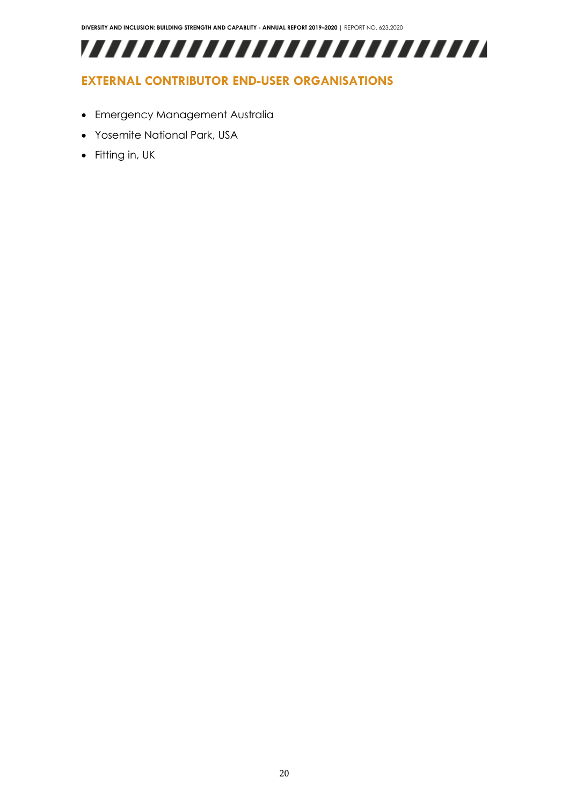,,,,,,,,,,,,,,,,,,,,,,,,,,

# <span id="page-20-0"></span>**EXTERNAL CONTRIBUTOR END-USER ORGANISATIONS**

- Emergency Management Australia
- Yosemite National Park, USA
- Fitting in, UK